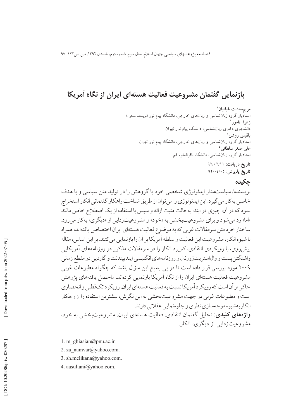فصلنامه پژوهشهای سیاسی جهان اسلام، سال سوم، شماره دوم، تابستان ۱۳۹۲، ص ص۱۲۲-۹۷

## بازنمایی گفتمان مشروعیت فعالیت هستهای ایران از نگاه آمریکا

مريمسادات غياثيان` استادیار گروه زبانشناسی و زبانهای خارجی، دانشگاه ییام نور (نویسنده مسئول) زهرا نامور<sup>٬</sup> ۔<br>دانشجوی دکتری زبانشناسی، دانشگاه پیام نور تھران بلقيس روشن استادیار گروه زبان شناسی و زبانهای خارجی، دانشگاه پیام نور تهران على اصغر سلطاني ' استادیار گروه زبانشناسی، دانشگاه باقرالعلوم قم تاریخ دریافت: ۹۲/۰۲/۱۱ تاريخ پذيرش: ٩٢/٠٤/٠٥

### حكىدە

نویسنده/ سیاستمدار ایدئولوژی شخصی خود یا گروهش را در تولید متن سیاسی و با هدف خاصی بهکار می گیرد. این ایدئولوژی را می توان از طریق شناخت راهکار گفتمانی انکار استخراج نمود که در آن، چیزی در ابتدا بهحالت مثبت ارائه و سیس با استفاده از یک اصطلاح خاص مانند «اما» رد می شود و بر ای مشر وعیتبخشی به «خود» و مشر وعیتزدایی از «دیگری» به کار می رود. ساختار خرد متن سرمقالات غربي كه به موضوع فعاليت هستهاى ايران اختصاص يافتهاند، همراه با شیوه انکار، مشروعیت این فعالیت و سلطه آمریکا بر آن را بازنمایی می کنند. بر این اساس، مقاله پیش روی، با رویکردی انتقادی، کاربرد انکار را در سرمقالات مذکور در روزنامههای آمریکایی واشنگتن يست و وال|ستريتژورنال و روزنامههاي انگليسي ايندييندنت و گاردين در مقطع زماني ۲۰۰۹ مورد بررسی قرار داده است تا در پی پاسخ این سؤال باشد که چگونه مطبوعات غربی مشروعیت فعالیت هستهای ایران را از نگاه آمریکا بازنمایی کردهاند. ماحصل یافتههای یژوهش حاکي از آن است که رو يکر د آمريکا نسبت به فعاليت هستهاي ايران، رو يکر د تکقطبي و انحصاري است و مطبوعات غربی در جهت مشروعیتبخشی به این نگرش، بیشترین استفاده را از راهکار انکار بهشیوه موجهسازی نظری و جلوهنمایی عقلانی دارند. **واژههای کلیدی:** تحلیل گفتمان انتقادی، فعالیت هستهای ایران، مشروعیتبخشی به خود، مشروعیتزدایی از دیگری، انکار.

<sup>1.</sup> m ghiasian@pnu.ac.ir.

<sup>2.</sup> za namvar@yahoo.com.

<sup>3.</sup> sh.melikana@yahoo.com.

<sup>4.</sup> aasultani@yahoo.com.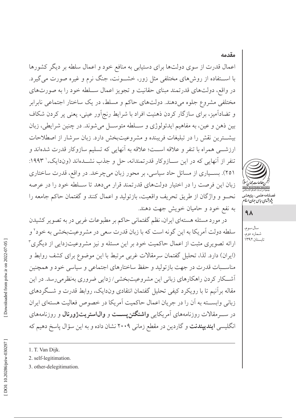# اعمال قدرت از سوی دولتها برای دستیابی به منافع خود و اعمال سلطه بر دیگر کشورها با اســتفاده از روشهای مختلفی مثل زور، خشــونت، جنگ نرم و غیره صورت میگیرد. در واقع، دولتهای قدرتمند مبنای حقانیت و تجویز اعمال ســلطه خود را به صورتهای مختلفی مشروع جلوه میدهند. دولتهای حاکم و مسلط، در یک ساختار اجتماعی نابرابر و تضادآمیز، برای سازگار کردن ذهنیت افراد با شرایط رنج اَور عینی، یعنی پر کردن شکاف بين ذهن و عين، به مفاهيم ايدئولوژي و سـلطه متوسـل مي شوند. در چنين شرايطي، زبان بيشترين نقش را در تبليغات فريبنده و مشروعيتبخش دارد. زبان سرشار از اصطلاحات ارزشـــي همراه با تنفر و علاقه اســـت؛ علاقه به آنهايي كه تسليم سازوكار قدرت شدهاند و تنفر از آنهایی که در این ســازوکار قدرتمندانه، حل و جذب نشــدهاند (وندایک، ' ۱۹۹۳: ۲۵۱). بسـیاری از مسائل حاد سیاسی، بر محور زبان میچرخد. در واقع، قدرت ساختاری زبان این فرصت را در اختیار دولتهای قدرتمند قرار می دهد تا ســلطه خود را در عرصه نحـو و واژگان از طريق تحريف واقعيت، بازتوليد و اعمال كنند و گفتمان حاكم جامعه را به نفع خود و حامیان خویش جهت دهند.

در مورد مسئله هستهاي ايران، نظم گفتماني حاكم بر مطبوعات غربي در به تصوير كشيدن سلطه دولت آمريكا به اين گونه است كه با زبان قدرت سعى در مشروعيتبخشي به خود<sup>٬</sup> و ارائه تصویری مثبت از اعمال حاکمیت خود بر این مسئله و نیز مشروعیتزدایی از دیگری ۳ (ایران) دارد. لذا، تحلیل گفتمان سرمقالات غربی مرتبط با این موضوع برای کشف روابط و مناسـبات قدرت در جهت بازتوليد و حفظ ساختارهاي اجتماعي و سياسي خود و همچنين أشــكار كردن راهكارهاي زباني اين مشروعيتبخشي/زدايي ضروري بهنظرميرسد. در اين مقاله برآنیم تا با رویکرد کیفی تحلیل گفتمان انتقادی وندایک، روابط قدرت و شـگردهای زباني وابســته به آن را در جريان اعمال حاكميت آمريكا در خصوص فعاليت هستهاى ايران در ســرمقالات روزنامههای آمریکایی واشنگتن پســت و والیاستریتژورنال و روزنامههای انگلیسی **ایندییندنت** و گاردین در مقطع زمانی ۲۰۰۹ نشان داده و به این سؤال یاسخ دهیم که



مقدمه

## $4<sub>A</sub>$

سال سوم، شماره دوم، تابستان ۱۳۹۲

1. T. Van Dijk.

2. self-legitimation.

3. other-delegitimation.

صلنامە على<sub>مى – پژوهشه<br>پژوہش*ای ساس ج*ان *اسلا*</sub>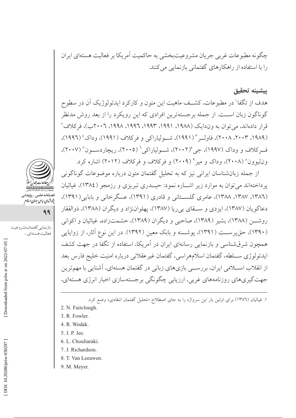چگونه مطبوعات غربي جريان مشروعيتبخشي به حاكميت أمريكا بر فعاليت هستهاي ايران را با استفاده از راهکارهای گفتمانی بازنمایی می کنند.

#### يشينه تحقيق

هدف از تگفا' در مطبوعات، کشــف ماهیت این متون و کارکرد ایدئولوژیک آن در سطوح گوناگون زبان اســت. از جمله برجستهترین افرادی که این رویکرد را از بعد روش مدنظر قرار دادهاند، می توان به وندایک (۱۹۸۸، ۱۹۹۱، ۱۹۹۳، ۱۹۹۲، ۱۹۹۸، ۲۰۰۲ب)، فرکلاف ٌ (١٩٨٩، ٢٠٠٣، ٢٠٠٨)، فاوليه " (١٩٩١)، شيولياراكي و فركلاف (١٩٩١)، وداك' (١٩٩١)، ف کلاف و و داک (۱۹۹۷)، جي (۲۰۰۲)، شــولياراکي<sup>۶</sup> (۲۰۰۵)، ريچاردســون<sup>۷</sup> (۲۰۰۷)، وناییوون^ (۲۰۰۸)، وداک و میر° (۲۰۰۹) و فرکلاف و فرکلاف (۲۰۱۲) اشاره کرد.

از جمله زبان شناسان ایرانی نیز که به تحلیل گفتمان متون درباره موضوعات گوناگونی پرداختهاند می توان به موارد زیر اشـاره نمود: حیــدری تبریزی و رزمجو (١٣٨٤)، غیاثیان (١٣٨٦، ١٣٨٧، ١٣٨٨)، عامري گلســتاني و قادري (١٣٩١)، عسگرخاني و بابايي(١٣٩١)، دعاگويان (١٣٨٧)، ايزدي و ســـقاي بي ريا (١٣٨٧)، يهلواننژاد و ديگران (١٣٨٨)، ذوالفقار روشـــن (١٣٨٨)، بشير (١٣٨٩)، صاحبي و ديگران (١٣٨٩)، حشمتزاده، غياثيان و اكواني (۱۳۹۰)، حق پرســت (۱۳۹۱)، پوشــنه و بابک معین (۱۳۹۲). در این نوع آثار، از زوایایی همچون شرق شناسی و بازنمایی رسانهای ایران در آمریکا، استفاده از تگفا در جهت کشف ايدئولوژي سـلطه، گفتمان اسلامهراسي، گفتمان غيرعقلاني درباره امنيت خليج فارس بعد از انقلاب اســـلامی ایران، بررســـی بازیهای زبانی در گفتمان هستهای، آشنایی با مهمترین جهت گیریهای روزنامههای غربی، ارزیابی چگونگی برجستهسازی اخبار انرژی هستهای،

۱. غیاثیان (۱۳۸٦) برای اولین بار این سرواژه را به جای اصطلاح «تحلیل گفتمان انتقادی» وضع کرد.

- 2. N. Fairclough.
- 3. R. Fowler.
- 4. R. Wodak.
- 5. J. P. Jee.
- 6. L. Chouliaraki.
- 7. J. Richardson.
- 8. T. Van Leeuwen.
- 9. M. Meyer.



فصلنامەعلى<sub>مى –</sub>پژوهش<sub>و</sub><br>پژ*وہ<sup>ی</sup>مای بیای جمان ایلام* 

بازنمايي گفتمان مشروعيت

فعاليت هستهاي ...

99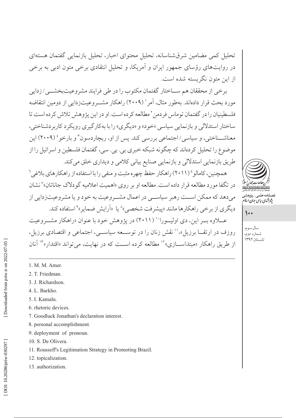تحلیل کمی مضامین شرقشناسانه، تحلیل محتوای اخبار، تحلیل بازنمایی گفتمان هستهای در روایتهای رؤسای جمهور ایران و آمریکا، و تحلیل انتقادی برخی متون ادبی به برخی از این متون نگریسته شده است.

برخي از محققان هم ســاختار گفتمان مكتوب را در طي فرايند مشروعيتبخشــي/زدايي مورد بحث قرار دادهاند. بهطور مثال، آمر' (۲۰۰۹) راهكار مشـروعيتزدايي از دومين انتقاضه فلسطينيان را در گفتمان توماس فردمن ّ مطالعه كرده است. او در اين پژوهش تلاش كرده است تا ساختار استدلالي و بازنمايي سياسي «خود» و «ديگري» را با بهكارگيري رويكر د كاربر دشناختي، معناشــناختی، و سیاسی/اجتماعی بررسی کند. پس از او، ریچاردسون<sup>۳</sup> و بارخو<sup>،</sup> (۲۰۰۹) این موضوع را تحلیل کردهاند که چگونه شبکه خبری بی. بی. سی، گفتمان فلسطین و اسرائیل را از طریق بازنمایی استدلالی و بازنمایی صنایع بیانی کلامی و دیداری خلق می کند.

همچنین، کامالو ° (۲۰۱۱) راهکار حفظ چهر ه مثبت و منفی را با استفاده از راهکارهای بلاغی<sup>۲</sup> در تگفا مورد مطالعه قرار داده است. مطالعه او بر روی «اهمیت اعلامیه گودلاک جاناتان»<sup>۷</sup> نشان مي دهد كه ممكن اســت رهبر سياســي در اعمال مشــر وعيت به خود و يا مشر وعيتزدايي از دیگری از برخی راهکارها مانند «پیشرفت شخصی»^ یا «اَرایش ضمایر»° استفاده کند. عبلاوه سر این، دی اولیهورا<sup>۱۰</sup> (۲۰۱۱) در پژوهش خود با عنوان «راهکار مشیروعیت

روزف در ارتقــا برزیل»،'' نقش زنان را در توســعه سیاســی، اجتماعی و اقتصادی برزیل، از طریق راهکار «مبتداســـازی»<sup>۱۲</sup> مطالعه کرده اســت که در نهایت، می تواند «اقتدار»<sup>۱۳</sup> آنان

- 1. M. M. Amer.
- 2. T. Friedman.
- 3. J. Richardson.
- 4. L. Barkho.
- 5. I. Kamalu.
- 6. rhetoric devices.
- 7. Goodluck Jonathan's declaration interest.
- 8. personal accomplishment.
- 9. deployment of pronoun.
- 10. S. De Olivera.
- 11. Rousseff's Legitimation Strategy in Promoting Brazil.
- 12. topicalization.
- 13. authorization.



پژو شهای سایت جهان اسلا

 $\mathcal{L}$ 

سال سوم، شماره دوم، تابستان ٣٩٢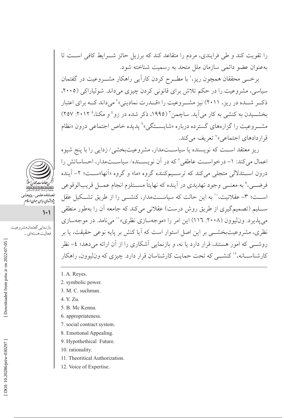را تقویت کند و طی فرایندی، مردم را متقاعد کند که برزیل حائز شــرایط کافی اســت تا بهعنوان عضو دائمی سازمان ملل متحد به رسمیت شناخته شود.

برخــی محققان همچون ریز،' با مطــرح کردن کاراًیی راهکار مشــروعیت در گفتمان سیاسی، مشروعیت را در حکم تلاش برای قانونی کردن چیزی میداند. شولیاراکی (۲۰۰۵، ذک و شـــده در ریز، ۲۰۱۱) نیز مشــروعیت را «قــدرت نمادینی» می داند کـــه برای اعتبار بخشــیدن به کنشی به کار می]ید. ساچمن ّ (۱۹۹۵، ذکر شده در زو<sup>، و</sup> و مکنا،° ۲۰۱۲: ۲۵۷) مشــروعيت را گزارههاي گسترده درباره «شايســتگي»<sup>٦</sup> يديده خاص اجتماعي درون «نظام قراردادهای اجتماعی»<sup>۷</sup> تعریف می کند.

ریز معتقد اســت که نویسنده یا سیاســتمدار، مشروعیتبخشی/ زدایی را با پنج شیوه اعمال می کند: ١- درخواست عاطفی^ که در آن نویســنده/ سیاســتمدار، احساساتش را درون اســـتدلالي متجلَّى مي كند كه ترســـيمكننده گروه «ما» و گروه «اَنها»ســـت؛ ٢- اَينده فرضـــي،° به معنـــي وجود تهديدي در اَينده كه نهايتاً مســـتلزم انجام عمـــل قريبالوقوعي اســت؛ ٣- عقلانیت، `` به این حالت که سیاســتمدار، کنشــی را از طریق تشــکیل عقل ســليم (تصميم گيري از طريق روش درست) عقلاني مي كند كه جامعه آن را بهطور منطقي مي يذير د. وناليوون (٢٠٠٨: ١١٦) اين امر را «موجهسازي نظري»'' مي نامد. در موجهسازي نظری، مشروعیتبخشــی بر این اصل استوار است که آیا کنش بر پایه نوعی حقیقت، یا بر روشـــی که امور هستند، قرار دارد یا نه، و بازنمایی آشکاری را از آن ارائه میدهد؛ ٤- نظر کار شناســـانه، ۱<sup>۲</sup> کنشـــ<sub>ی</sub> که تحت حمایت کار شناسان قرار دارد. چیزی که و نالبوون، راهکار

- 1. A. Reyes.
- 2. symbolic power.
- 3. M. C. suchman.
- 4. Y. Zu.
- 5. B. Mc Kenna.
- 6. appropriateness.
- 7. social contract system.
- 8. Emotional Appealing.
- 9. Hypothethical Future.
- 10. rationality.
- 11. Theoritical Authorization.
- 12. Voice of Expertise.



پژو شهای سایپی جهان اسلام

بازنمايي گفتمان مشر وعيت

فعاليت هستهاي ...

 $\left| \cdot \right|$ 

Downloaded from priw.ir on 2022-07-05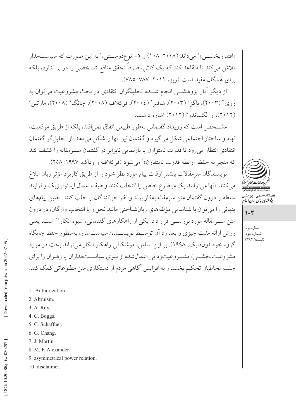«اقتداربخشــی»' می داند (۲۰۰۸: ۱۰۸) و ۵– نوع دوســتی،' به این صورت که سیاستمدار تلاش میکند تا متقاعد کند که یک کنش، صرفاً تحقق منافع شــخصی را در بر ندارد، بلکه برای همگان مفید است (ریز، ۲۰۱۱: ۷۸۷–۷۸۵).

از دیگر آثار پژوهشــی انجام شـــده تحلیلگران انتقادی در بحث مشروعیت می توان به روی ٔ (۲۰۰۳)، باگز ٔ (۲۰۰۳)، شافنر ْ (۲۰۰٤)، فرکلاف (۲۰۰۸)، چانگ ْ (۲۰۰۸)، مارتین ْ (۲۰۱۲)، و الکساندر ۲۰۱۲) اشاره داشت.

مشخص است که رویداد گفتمانی بهطور طبیعی اتفاق نمی افتد، بلکه از طریق موقعیت، نهاد و ساختار اجتماعي شكل مي گيرد و گفتمان نيز آنها را شكل مي دهد. از تحليل گر گفتمان انتقادي انتظار مي رود تا قدرت نامتوازن يا بازنمايي نابرابر در گفتمان ســرمقاله را كشف كند که منجر به حفظ «رابطه قدرت نامتقارن» می شود (فرکلاف و وداک، ۱۹۹۷: ۲۵۸).

نويسندگان سرمقالات بيشتر اوقات پيام مورد نظر خود را از طريق كاربرد مؤثر زبان ابلاغ مي كنند. آنها مي توانند يك موضوع خاص را انتخاب كنند و طيف اعمال ايدئولوژيك و فرايند سلطه را درون گفتمان متن سرمقاله بهکار برند و نظر خوانندگان را جلب کنند. چنین پیامهای پنهانی را می توان با شناسایی مؤلفههای زبانشناختی مانند نحو و یا انتخاب واژگان، در درون متن ســرمقاله مورد بررســي قرار داد. يكي از راهكارهاي گفتماني، شيوه انكار `` است، يعني روش ارائه مثبت چیزی و بعد رد آن توسـط نویســنده/سیاستمدار، بهمنظور حفظ جایگاه گروه خود (وندایک، ۱۹۹۸). بر این اساس، موشکافی راهکار انکار می تواند بحث در مورد مشر وعیتبخشـــی/ مشـــر وعیتزدایی اعمال شده از سوی سیاســـتمداران یا رهبران را برای جلب مخاطبان تحکیم بخشد و به افزایش آگاهی مردم از دستکاری متن مطبوعاتی کمک کند.

صلنامەعلى<sub>مى—</sub>پ<sub>ژوهشە</sub><br>پژوہ*شای سای ج*ان *اسلا* 

 $1.7$ 

سال سوم، شماره دوم، تابستان ۱۳۹۲

- 1. Authorization.
	- 2. Altruism.
	- 3. A. Roy.
	- 4. C. Boggs.
	- 5. C. Schaffner.
	- 6. G. Chang.
	- 7. J. Martin.
	- 8. M. F. Alexander.
	- 9. asymmetrical power relation.
	- 10. disclaimer.

Downloaded from priw.ir on 2022-07-05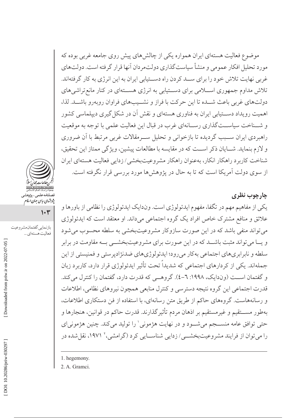موضوع فعالیت هستهای ایران همواره یکی از چالشهای پیش روی جامعه غربی بوده که مورد تحلیل افکار عمومی و منشأ سیاستگذاری دولتمر دان آنها قرار گرفته است. دولتهای غربی نهایت تلاش خود را برای ســد کردن راه دســتیابی ایران به این انرژی به کار گرفتهاند. تلاش مداوم جمهوری اســلامی برای دســتیابی به انرژی هســتهای در کنار مانع تراشیهای دولتهای غربی باعث شـده تا این حرکت با فراز و نشــیبهای فراوان روبهرو باشــد. لذا، اهمیت رویداد دســتیابی ایران به فناوری هستهای و نقش آن در شکل گیری دیپلماسی کشور و شـناخت سیاســتگذاري رسـانهاي غرب در قبال اين فعاليت علمي با توجه به موقعيت راهبردی ایران سـبب گردیده تا بازخوانی و تحلیل سـرمقالات غربی مرتبط با آن ضروری و لازم بنمايد. شــايان ذكر اســت كه در مقايسه با مطالعات پيشين، ويژگى ممتاز اين تحقيق، شناخت كاربرد راهكار انكار، بهعنوان راهكار مشروعيتبخشي/ زدايي فعاليت هستهاي ايران از سوی دولت آمریکا است که تا به حال در پژوهشها مورد بررسی قرار نگرفته است.

چارچوب نظری یکی از مفاهیم مهم در تگفا، مفهوم ایدئولوژی است. وندایک ایدئولوژی را نظامی از باورها و علائق و منافع مشترک خاص افراد یک گروه اجتماعی میداند. او معتقد است که ایدئولوژی مي تواند منفي باشد كه در اين صورت سازوكار مشروعيتبخشي به سلطه محسوب مي شود و یــا می تواند مثبت باشــد که در این صورت برای مشروعیتبخشــی بــه مقاومت در برابر سلطه و نابرابري هاي اجتماعي بهكار مي رود؛ ايدئولوژي هاي ضدنژادير ستي و فمنيستي از اين جملهاند. یکی از کردارهای اجتماعی که شدیداً تحت تأثیر ایدئولوژی قرار دارد، کاربرد زبان و گفتمان است (وندایک، ۱۹۹۸: ٦-٤). گروهــی که قدرت دارد، گفتمان را کنترل می کند. قدرت اجتماعي اين گروه نتيجه دسترسي و كنترل منابعي همچون نيروهاي نظامي، اطلاعات و رسانههاست. گروههای حاکم از طریق متن رسانهای، با استفاده از فن دستکاری اطلاعات، بهطور مســـتقيم و غيرمستقيم بر اذهان مردم تأثيرگذارند. قدرت حاكم در قوانين، هنجارها و حتی توافق عامه منســجم میشــود و در نهایت هژمونی' را تولید میکند. چنین هژمونیای را می توان از فرایند مشروعیتبخشبی/ زدایی شناســایی کرد (گرامشی،' ۱۹۷۱، نقل شده در

1. hegemony.

2. A. Gramci.

پژو شهای *ساسی جهان اسلام*<br>\*

فعاليت هستهاي ...

بازنمايي گفتمان مشروعيت

 $1 - r$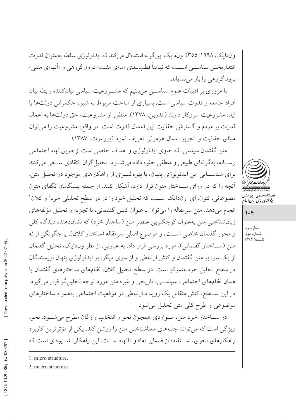وندایک، ۱۹۹۸: ٣٥٥). وندایک این گونه استدلال میکند که ایدئولوژي سلطه بهعنوان قدرت اقتدار بخش سیاسب اسـت که نهایتاً قطببندی «ما»ی مثبت/ درونگروهی و «آنها»ی منفی/ برونگروهي را باز مي نماياند.

با مروری بر ادبیات علوم سیاســـی می بینیم که مشـــروعیت سیاسی بیانکننده رابطه بیان افراد جامعه و قدرت سیاسی است. بسیاری از مباحث مربوط به شیوه حکمرانی دولتها با ايده مشروعيت سروكار دارند (اندرين، ١٣٧٨). منظور از مشروعيت، حق دولتها به اعمال قدرت بر مردم و گسترش حقانیت این اعمال قدرت است. در واقع، مشروعیت را می توان مبنای حقانیت و تجویز اعمال هژمونی تعریف نمود (پورعزت، ۱۳۸۷).

متن گفتمان سیاسی، که حاوی ایدئولوژی و اهداف خاصی است از طریق نهاد اجتماعی رسـانه، بهگونهاي طبيعي و منطقي جلوه داده مي شـود. تحليل گران انتقادي سـعي مي كنند برای شناسـایی این ایدئولوژی پنهان، با بهرهگیــری از راهکارهای موجود در تحلیل متن، آنچه را که در ورای ســاختار متون قرار دارد، آشکار کنند. از جمله پیشگامان تگفای متون مطبوعاتي، تئون اي. وندايک است که تحليل خود را در دو سطح تحليلي خرد' و کلان ' انجام می دهد. متن سرمقاله را می توان بهعنوان کنش گفتمانی، با تجزیه و تحلیل مؤلفههای زبان شناختی متن به عنوان کوچکترین عنصر متن (ساختار خرد) که نشاندهنده دیدگاه کلی و محور گفتمان خاصی اســت، و موضوع اصلی سرمقاله (ساختار کلان)، یا چگونگی ارائه متن (ســاختار گفتمانی)، مورد بررسی قرار داد. به عبارتی، از نظر وندایک، تحلیل گفتمان از یک سو، بر متن گفتمان و کنش ارتباطی و از سوی دیگر، بر ایدئولوژی پنهان نویسندگان در سطح تحلیل خرد متمرکز است. در سطح تحلیل کلان، نظامهای ساختارهای گفتمان یا همان نظامهای اجتماعی، سیاسی، تاریخی و غیره متن مورد توجه تحلیل گر قرار می گیرد. در این ســطح، کنش متقابل یک رویداد ارتباطی در موقعیت اجتماعی بههمراه ساختارهای موضوعي وطرح كلي متن تحليل مي شود.

در ســـاختار خرد متن، مــواردي همچون نحو و انتخاب واژگان مطرح ميشـــود. نحو، ویژگی است که می تواند جنبههای معناشناختی متن را روشن کند. یکی از مؤثر ترین کاربر د راهکارهای نحوی، استفاده از ضمایر «ما» و «آنها» است. این راهکار، شـووهای است که



صىلنامە عىلمى – پ<sub>ژ</sub>وهشە<br>پژ*وہ<sup>ی</sup>مای ساسی جمان اسلا* 

 $1.8$ 

سال سوم، شماره دوم،<br>تابستان ۱۳۹۲

1. micro structure. 2. macro structure.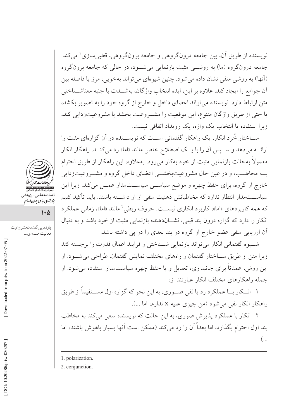نویسنده از طریق اّن، بین جامعه درونگروهی و جامعه برونگروهی، قطبی سازی' می کند. جامعه درونگروه (ما) به روشـــ مثبت بازنمایی می شــود، در حالی که جامعه برونگروه (آنها) به روشی منفی نشان داده می شود. چنین شیوهای می تواند بهخوبی، مرز یا فاصله بین أن جوامع را ايجاد كند. علاوه بر اين، ايده انتخاب واژگان، بهشـــدت با جنبه معناشـــناختى متن ارتباط دارد. نویسنده میتواند اعضای داخل و خارج از گروه خود را به تصویر بکشد، يا حتى از طريق واژگان متنوع، اين موقعيت را مشـروعيت بخشد يا مشروعيتزدايي كند، زیرا استفاده یا انتخاب یک واژه، یک رویداد اتفاقی نیست.

ســاختار خُرد انکار، یک راهکار گفتمانی اســت که نویســنده در آن گزارهای مثبت را ارائـــه مي دهد و ســـيس أن را با يـــك اصطلاح خاص مانند «اما» رد مي كنـــد. راهكار انكار معمولاً بهحالت بازنمایی مثبت از خود بهکار میرود. بهعلاوه، این راهکار از طریق احترام بــه مخاطــب، و در عين حال مشروعيتبخشــي اعضاي داخل گروه و مشــروعيتزدايي خارج از گروه، برای حفظ چهره و موضع سیاســی سیاســـتمدار عمــل میکند. زیرا این سیاســـتمدار انتظار ندارد که مخاطبانش ذهنیت منفی از او داشـــته باشند. باید تأکید کنیم که همه کاربر دهای «اما»، کاربر د انکاری نیست. حروف ربطی ٔ مانند «اما»، زمانی عملکر د انکار را دارد که گزاره درون بند قبلی، نشــاندهنده بازنمایی مثبت از خود باشد و به دنبال آن ارزیابی منفی عضو خارج از گروه در بند بعدی را در پی داشته باشد.

شب وه گفتمانی انکار می تواند بازنمایی شــناختی و فرایند اعمال قدرت را بر جسته کند زیرا متن از طریق ســاختار گفتمان و راههای مختلف نمایش گفتمان، طراحی می شــود. از این روش، عمدتاً برای جانبداری، تعدیل و یا حفظ چهره سیاستمدار استفاده می شود. از جمله راهكارهاى مختلف انكار عبارتند از:

۱– انــکار بــا عملکرد رد یا نفی صـــوری، به این نحو که گزاره اول مســـتقیماً از طریق راهکار انکار نفی میشود (من چیزی علیه x ندارم، اما ...).

۲– انکار با عملکرد پذیرش صوری، به این حالت که نویسنده سعی می کند به مخاطب بند اول احترام بگذارد، اما بعداً آن را رد می کند (ممکن است آنها بسیار باهوش باشند، اما  $\mathcal{L}$ ...

2. conjunction.



قصیت کسی پرر<br>پژوہشہای سایپ جہان اسلام

بازنمايي گفتمان مشروعيت

فعاليت هستهاي ...

 $\mathsf{L}\mathsf{L}$ 

<sup>1.</sup> polarization.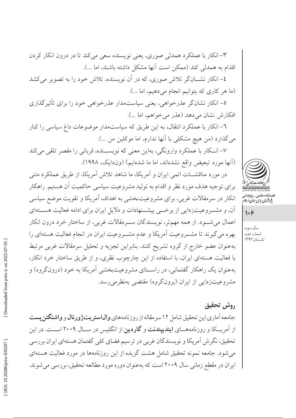انکار در سرمقالات غربی، برای مشروعیتبخشی به اهداف آمریکا و تقویت موضع سیاسی

آن، و مشـروعیتزدایی از برخــی پیشــنهادات و دلایل ایران برای ادامه فعالیت هســتهای اعمال میشـود. از همه مهمتر، نویسندگان سـرمقالات غربی، از ساختار خرد درون انکار بهره میگیرند تا مشــروعیت آمریکا و عدم مشــروعیت ایران در انجام فعالیت هستهای را بهعنوان عضو خارج از گروه تشريح كنند. بنابراين تجزيه و تحليل سرمقالات غربي مرتبط با فعالیت هستهای ایران، با استفاده از این چارچوب نظری، و از طریق ساختار خرد انکار، بهعنوان یک راهکار گفتمانی، در راسـتای مشروعیتبخشی آمریکا به خود (درونگروه) و مشروعیتزدایی از ایران (برونگروه) مقتضی بهنظرمی رسد.

٣- انکار با عملکرد همدلی صوری، یعنی نویسنده سعی میکند تا در درون انکار کردن

٤– انکار نشـــانگر تلاش صوري، که در اَن نويسنده، تلاش خود را به تصوير مي کشد

٥– انکار نشانگر عذرخواهي، يعني سياستمدار عذرخواهي خود را براي تأثيرگذاري

٦- انکار با عملکرد انتقال، به این طریق که سیاستمدار موضوعات داغ سیاسی را کنار

٧- انکار با عملکرد وارونگی، بهاین معنی که نویســنده، قربانی را مقصر تلقی میکند

در مورد مناقشـــات اتمى ايران و اَمريكا، ما شاهد تلاش اَمريكا، از طريق عملكرد متنى

برای توجیه هدف مورد نظر و اقدام به تولید مشروعیت سیاسی حاکمیت آن هستیم. راهکار

اقدام به همدلی کند (ممکن است آنها مشکل داشته باشند، اما ...).

(ما هر كارى كه بتوانيم انجام مى دهيم، اما ...).

افكارش نشان مى دهد (عذر مى خواهم، اما ...).

می گذارد (من هیچ مشکلی با آنها ندارم، اما موکلین من …).

(آنها مورد تبعیض واقع نشدهاند، اما ما شدهایم) (وندایک، ۱۹۹۸).

## روش تحقيق

جامعه آماری این تحقیق شامل ۱۲ سر مقاله از روزنامههای **وال|ستر پتژورنال** و **واشنگتن پست** از آمریـــکا و روزنامههـــای **ایندیپندنت** و **گاردین** از انگلیس در ســـال ۲۰۰۹ اســـت. در این تحقیق، نگرش اَمریکا و نویسندگان غربی در ترسیم فضای کلی گفتمان هستهای ایران بررسی میشود. جامعه نمونه تحقیق شامل هشت گزیده از این روزنامهها در مورد فعالیت هستهای ایران در مقطع زمانی سال ۲۰۰۹ است که بهعنوان دوره مورد مطالعه تحقیق، بررسی میشوند.



صىلنامە عىلمى – بىژوهشىر<br>پژوہش*ای ریاس جمان اسلا*م

 $1.9$ 

سال سوم، شماره دومًا<br>تابستان ۱۳۹۲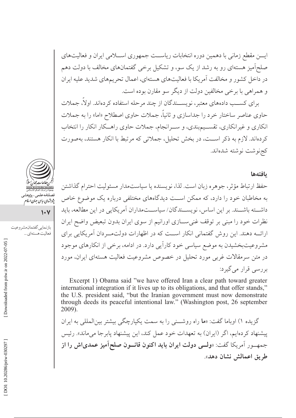ایسن مقطع زمانی با دهمین دوره انتخابات ریاست جمهوری اســلامی ایران و فعالیتهای صلحآمیز هستهای رو به رشد از یک سو، و تشکیل برخی گفتمانهای مخالف با دولت دهم در داخل کشور و مخالفت آمریکا با فعالیتهای هستهای، اعمال تحریمهای شدید علیه ایران و همراهي با برخي مخالفين دولت از ديگر سو مقارن بوده است.

برای کســب دادههای معتبر، نویســندگان از چند مرحله استفاده کردهاند. اولا، جملات حاوی عناصر ساختار خرد را جداسازی و ثانیاً، جملات حاوی اصطلاح «اما» را به جملات انکاری و غیرانکاری، تقسـیم.بندی، و ســرانجام، جملات حاوی راهــکار انکار را انتخاب كردهاند. لازم به ذكر اســت، در بخش تحليل، جملاتي كه مرتبط با انكار هستند، بهصورت كجنوشت نوشته شدهاند.

#### بافتهها

حفظ ارتباط مؤثر، جوهره زبان است. لذا، نويسنده يا سياستمدار مسئوليت احترام گذاشتن به مخاطبان خود را دارد، که ممکن اســت دیدگاههای مختلفی درباره یک موضوع خاص داشـــته باشـــند. بر اين اساس، نويســـندگان/ سياســـتمداران آمريكايي در اين مطالعه، بايد نظرات خود را مبنی بر توقف غنی سازی اورانیم از سوی ایران بدون تبعیض واضح ایران ارائــه دهند. اين روش گفتماني انكار اســت كه در اظهارات دولتمــردان آمريكايي براي مشروعیتبخشیدن به موضع سیاسی خود کاراًیی دارد. در ادامه، برخی از انکارهای موجود در متن سرمقالات غربی مورد تحلیل در خصوص مشروعیت فعالیت هستهای ایران، مورد بررسی قرار می گیرد:

Excerpt 1) Obama said "we have offered Iran a clear path toward greater international integration if it lives up to its obligations, and that offer stands," the U.S. president said, "but the Iranian government must now demonstrate through deeds its peaceful intentional law." (Washington post, 26 september 2009).

گزیده ۱) اوباما گفت: «ما راه روشــنی را به سمت یکپارچگی بیشتر بینالمللی به ایران پیشنهاد کردهایم، اگر (ایران) به تعهدات خود عمل کند، این پیشنهاد پابر جا می ماند». رئیس جمهــور أمريكا گفت: «**ولـــى دولت ايران بايد اكنون قانـــون صلح**اًم**يز عمدىاش را از** طريق اعمالش نشان دهد».



پژو برش<sub>های سیاسی</sub> جهان اسلام

 $\vee$ 

بازنمايي گفتمان مشروعيت فعاليت هستهاي ...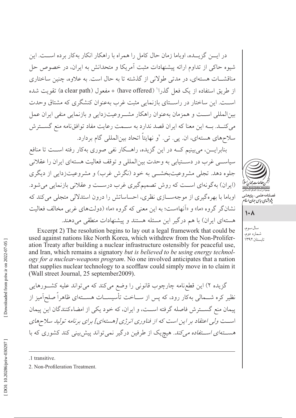در ایـــن گزیـــده، اوباما زمان حال کامل را همراه با راهکار انکار بهکار برده اســـت. این شیوه حاکی از تداوم ارائه پیشنهادات مثبت آمریکا و متحدانش به ایران، در خصوص حل مناقشــات هستهاي، در مدتي طولاني از گذشته تا به حال است. به علاوه، چنين ساختاري از طريق استفاده از يک فعل گذرا' (have offered) + مفعول (a clear path) تقويت شده است. این ساختار در راستای بازنمایی مثبت غرب بهعنوان کنشگری که مشتاق وحدت بین المللی است و همزمان بهعنوان راهکار مشـروعیتزدایی و بازنمایی منفی ایران عمل می کنــد. بــه این معنا که ایران قصد ندارد به ســمت رعایت مفاد توافق نامه منع گســترش سلاحهای هستهای، ان. پی. تی. ۲و نهایتاً اتحاد بینالمللی گام بردارد.

بنابرایسن، می بینیم کــه در این گزیده، راهــکار نفی صوری بهکار رفته اســت تا منافع سیاســی غرب در دســتیابی به وحدت بینالمللی و توقف فعالیت هستهای ایران را عقلانی جلوه دهد. تجلي مشروعيتبخشـــي به خود (نگرش غرب) و مشروعيتزدايي از ديگري (ایران) به گونهای است که روش تصمیم گیری غرب درست و عقلانی بازنمایی می شود. اوباما با بهرهگیری از موجهسازی نظری، احساساتش را درون استدلالی متجلی می کند که نشان گر گروه «ما» و «آنها»ست؛ به این معنی که گروه «ما» (دولتهای غربی مخالف فعالیت هستهای ایران) با هم درگیر این مسئله هستند و پیشنهادات منطقی می دهند.

Excerpt 2) The resolution begins to lay out a legal framework that could be used against nations like North Korea, which withdrew from the Non-Proliferation Treaty after building a nuclear infrastructure ostensibly for peaceful use, and Iran, which remains a signatory but is believed to be using energy technology for a nuclear-weapons program. No one involved anticipates that a nation that supplies nuclear technology to a scofflaw could simply move in to claim it (Wall street Journal, 25 september 2009).

گزیده ۲) این قطعنامه چارچوب قانونی را وضع می کند که می تواند علیه کشــورهایی نظیر کره شــمالی بهکار رود، که پس از ســاخت تأسیســات هســتهای ظاهراً صلحآمیز از پیمان منع گســترش فاصله گرفته اســت، و ایران، که خود یکی از امضاءکنندگان این پیمان است ولي اعتقاد بر اين است كه از فناوري انرژي [هستهاي] براي برنامه توليد سلاحهاي *هســـتهای اســـتفاده میکند. ه*یچیک از طرفین درگیر نمیتواند پیش بینی کند کشوری که با

.1 transitive.



 $\lambda$ 

سال سوم، شماره دوم، تابستان ۱۳۹۲

Downloaded from priw.ir on 2022-07-05

<sup>2.</sup> Non-Profileration Treatment.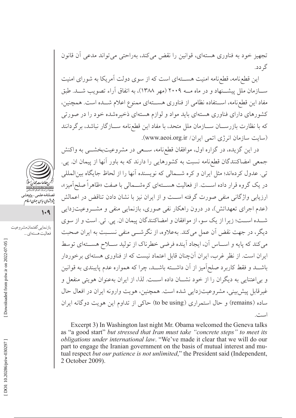تجهیز خود به فناوری هستهای، قوانین را نقض می کند، بهراحتی می تواند مدعی آن قانون گہ دد.

این قطع نامه، قطع نامه امنیت هســـتهای است که از سوی دولت آمریکا به شورای امنیت ســـازمان ملل پیشـــنهاد و در ماه مـــه ۲۰۰۹ (مهر ۱۳۸۸)، به اتفاق آراء تصویب شـــد. طبق مفاد این قطع نامه، استفاده نظامی از فناوری هستهای ممنوع اعلام شــده است. همچنین، کشورهای دارای فناوری هستهای باید مواد و لوازم هستهای ذخیرهشده خود را در صورتی كه با نظارت بازرســـان ســـازمان ملل متحد، با مفاد اين قطع نامه ســـازگار نباشد، برگردانند (سایت سازمان انرژی اتمی ایران/ www.aeoi.org.ir).

در این گزیده، در گزاره اول، موافقان قطع،نامه، ســعی در مشروعیتبخشــی به واکنش جمعی امضاکنندگان قطعنامه نسبت به کشورهایی را دارند که به باور آنها از پیمان ان. پی. تبي. عدول كردهاند؛ مثل ايران و كره شــمالي كه نويسنده آنها را از لحاظ جايگاه بينالمللي در یک گروه قرار داده اســت. از فعالیت هســتهای کرهشــمالی با صفت «ظاهراً صلحآمیز»، ارزیابی واژگانی منفی صورت گرفته است و از ایران نیز با نشان دادن تناقض در اعمالش (عدم اجرای تعهداتش)، در درون راهکار نفی صوری، بازنمایی منفی و مشــروعیتزدایی شــده اســت؛ زيرا از يک سو، از موافقان و امضاکنندگان پيمان ان. يي. تي. است و از سوي دیگر، در جهت نقض آن عمل می کند. بهعلاوه، از نگرشــی منفی نســبت به ایران صحبت می کند که پایه و اسـاس آن، ایجاد آینده فرضی خطرناک از تولید ســلاح هســتهای توسط ایران است. از نظر غرب، ایران آنچنان قابل اعتماد نیست که از فناوری هستهای برخوردار باشـــد و فقط كاربرد صلحآميز از آن داشـــته باشـــد، چرا كه همواره عدم پايبندى به قوانين و بی اعتنایی به دیگران را از خود نشــان داده اســت. لذا، از ایران بهعنوان هویتی منفعل و غیرقابل پیش بینی، مشروعیتزدایی شده است. همچنین، هویت وارونه ایران در افعال حال ساده (remains) و حال استمراري (to be using) حاكي از تداوم اين هويت دوگانه ايران است.

Excerpt 3) In Washington last night Mr. Obama welcomed the Geneva talks as "a good start" but stressed that Iran must take "concrete steps" to meet its obligations under international law. "We've made it clear that we will do our part to engage the Iranian government on the basis of mutual interest and mutual respect but our patience is not unlimited," the President said (Independent, 2 October 2009).



- پژو شهای سایپی جهان اسلام<br>پژو شهای سایپی جهان اسلام
	- $1.9$

فعاليت هستهاي ...

بازنمايي گفتمان مشروعيت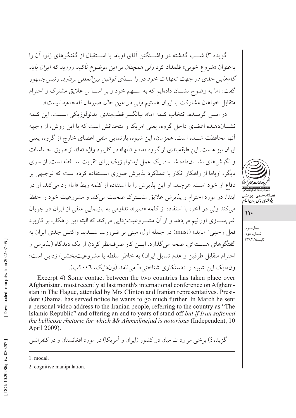گزیده ۳) شــب گذشته در واشــنگتن آقای اوباما با اســتقبال از گفتگوهای ژنو، آن را بهعنوان «شروع خوبي» قلمداد كرد *ولي همچنان بر اين موضوع تأكيد ورزيد كه ايران بايد* گامهایی جدی در جهت تعهدات خود در راستای قوانین بین المللی بردارد. رئیس جمهور گفت: «ما به وضوح نشـان دادهایم که به ســهم خود و بر اســاس علایق مشترک و احترام متقابل خواهان مشاركت با ايران هستيم *ولي در عين حال صبرمان نامحدود نيست*».

در ايـــن گزيـــده، انتخاب كلمه «ما»، بيانگــر قطببندي ايدئولوژيكي اســـت. اين كلمه نشــاندهنده اعضای داخل گروه، یعنی امریکا و متحدانش است که با این روش، از وجهه آنها محافظت شــده است. همزمان، این شیوه، بازنمایی منفی اعضای خارج از گروه، یعنی ایران نیز هست. این طبقهبندی از گروه «ما» و «آنها» در کاربرد واژه «ما»، از طریق احساسات و نگر ش های نشــانداده شــده، یک عمل ایدئولوژیک برای تقویت ســلطه است. از سوی دیگر، اوباما از راهکار انکار با عملکرد پذیرش صوری اســتفاده کرده است که توجیهی بر دفاع از خود است. هرچند، او این پذیرش را با استفاده از کلمه ربط «اما» رد میکند. او در ابتدا، در مورد احترام و پذیرش علایق مشترک صحبت می کند و مشروعیت خود را حفظ مي كند ولي در آخر، با استفاده از كلمه «صبر»، تداومي به بازنمايي منفي از ايران در جريان غني ســـازي اورانيم مي دهد و از آن مشـــروعيتزدايي مي كند كه البته اين راهكار، بر كاربر د فعل وجهي' «بايد» (must) در جمله اول، مبنى بر ضرورت شـــديد واكنش جدى ايران به گفتگوهای هســتهای، صحه می گذارد. ایـــن کار صرفنظر کردن از یک دیدگاه (پذیرش و احترام متقابل طرفين و عدم تمايل ايران) به خاطر سلطه يا مشروعيتبخشي/ زدايي است؛ وندایک این شیوه را «دستکاری شناختی»<sup>۲</sup> می نامد (وندایک، ۲۰۰۲ب).



پژوشهای سایپ جهان اسلام

 $\mathcal{U}$ 

سال سوم، شماره دوم، تابستان ۱۳۹۲

Excerpt 4) Some contact between the two countries has taken place over Afghanistan, most recently at last month's international conference on Afghanistan in The Hague, attended by Mrs Clinton and Iranian representatives. President Obama, has served notice he wants to go much further. In March he sent a personal video address to the Iranian people, referring to the country as "The Islamic Republic" and offering an end to years of stand off but if Iran softened the bellicose rhetoric for which Mr Ahmedinejad is notorious (Independent, 10 April 2009).

گزیده٤) برخی مراودات میان دو کشور (ایران و آمریکا) در مورد افغانستان و در کنفرانس

<sup>1.</sup> modal.

<sup>2.</sup> cognitive manipulation.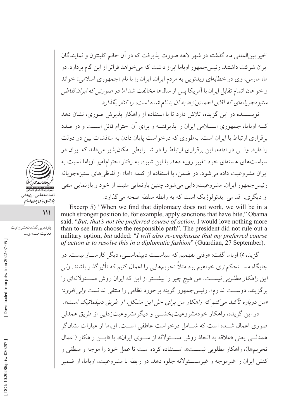اخير بينالمللي ماه گذشته در شهر لاهه صورت يذيرفت كه در آن خانم كلينتون و نمايندگان ایران شرکت داشتند. رئیس جمهور اوباما ابراز داشت که می خواهد فراتر از این گام بردارد. در ماه مارس، وي در خطابهاي ويدئويي به مردم ايران، ايران را با نام «جمهوري اسلامي» خواند و خواهان اتمام تقابل ایران با آمریکا پس از سالها مخالفت شد *اما در صورتی که ایران لفاظی* ستیزه جویانهای که آقای احمدی نژاد به آن بدنام شده است، را کنار بگذارد.

نویســنده در این گزیده، تلاش دارد تا با استفاده از راهکار پذیرش صوری، نشان دهد کــه اوباما، جمهوری اســـلامی ایران را پذیرفتــه و برای آن احترام قائل اســت و در صدد بر قراری ارتباط با ایران است، بهطوری که درخواست پایان دادن به مناقشات بین دو دولت را دارد. ولــی در ادامه، این بر قراری ارتباط را در شــرایطی امکان پذیر می داند که ایران در سیاستهای هستهای خود تغییر رویه دهد. با این شیوه، به رفتار احترامآمیز اوباما نسبت به ایران مشروعیت داده می شود. در ضمن، با استفاده از کلمه «اما» از لفاظیهای ستیزهجویانه رئیس جمهور ایران، مشروعیتزدایی می شود. چنین بازنمایی مثبت از خود و بازنمایی منفی از دیگری، اقدامی ایدئولوژیک است که به رابطه سلطه صحه می گذارد.

Excerp 5) "When we find that diplomacy does not work, we will be in a much stronger position to, for example, apply sanctions that have bite," Obama said. "But, that's not the preferred course of action. I would love nothing more than to see Iran choose the responsible path". The president did not rule out a military option, but added: "I will also re-emphasize that my preferred course of action is to resolve this in a diplomatic fashion" (Guardian, 27 September).

گزیده0) اوباما گفت: «وقتی بفهمیم که سیاســت دیپلماســی، دیگر کارســاز نیست، در جایگاه مســـتحکمتری خواهیم بود مثلاً تحریمهایی را اعمال کنیم که تأثیر گذار باشند. *ولی* این راهکار مطل*وبی نیست. من هیچ چی*ز را بیشتر از این که ایران روش مسئولانهای را برگزیند، دوســت ندارم». رئیسجمهور گزینه برخورد نظامی را منتفی ندانست *ولی افزود:* «من دوباره تأکید میکنم که راهکار من برای حل این مشکل، از طریق دیپلماتیک است». در این گزیده، راهکار خودمشروعیتبخشــی و دیگرمشروعیتزدایی از طریق همدلی صوری اعمال شـــده است که شـــامل درخواست عاطفی اســـت. اوباما از عبارات نشانگر همدلبي يعني «علاقه به اتخاذ روش مسئولانه از سوى ايران»، يا «ايــن راهكار (اعمال تحريمها)، راهكار مطلوبي نيســت»، اســتفاده كرده است تا عمل خود را موجه و منطقي و کنش ایران را غیر موجه و غیر مســـئولانه جلوه دهد. در رابطه با مشروعیت، اوباما، از ضمیر





فعاليت هستهاي ...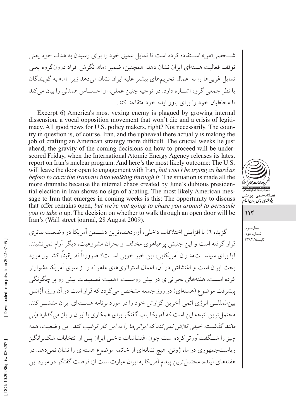شــخصي «من» اســتفاده كرده است تا تمايل عميق خود را براي رسيدن به هدف خود يعني توقف فعالیت هستهای ایران نشان دهد. همچنین، ضمیر «ما»، نگرش افراد درون گروه یعنی تمایل غربیها را به اعمال تحریمهای بیشتر علیه ایران نشان میدهد زیرا «ما» به گویندگان يا نظر جمعي گروه اشـــاره دارد. در توجيه چنين عملي، او احســـاس همدلي را بيان مي كند تا مخاطبان خود را برای باور ایده خود متقاعد کند.

Excerpt 6) America's most vexing enemy is plagued by growing internal dissension, a vocal opposition movement that won't die and a crisis of legitimacy. All good news for U.S. policy makers, right? Not necessarily. The country in question is, of course, Iran, and the upheaval there actually is making the job of crafting an American strategy more difficult. The crucial weeks lie just ahead; the gravity of the coming decisions on how to proceed will be underscored Friday, when the International Atomic Energy Agency releases its latest report on Iran's nuclear program. And here's the most likely outcome: The U.S. will leave the door open to engagement with Iran, but won't be trying as hard as before to coax the Iranians into walking through it. The situation is made all the more dramatic because the internal chaos created by June's dubious presidential election in Iran shows no sign of abating. The most likely American message to Iran that emerges in coming weeks is this: The opportunity to discuss that offer remains open, but we're not going to chase you around to persuade you to take it up. The decision on whether to walk through an open door will be Iran's (Wall street journal, 28 August 2009).

گزیده ٦) با افزایش اختلافات داخلی، آزار دهنده ترین دشتمن آمریکا در وضعت بدتری قرار گرفته است و این جنبش پرهیاهوی مخالف و بحران مشروعیت، دیگر آرام نمی نشیند. آیا برای سیاســـتمداران اَمریکایی، این خبر خوبی اســت؟ ضرورتاً نه. یقیناً، کشــور مورد بحث ایران است و اغتشاش در آن، اعمال استراتژیهای ماهرانه را از سوی آمریکا دشوارتر كرده اســت. هفتههاي بحراني اي در پيش روســت. اهميت تصميمات پيش رو بر چگونگي پیشرفت موضوع (هستهای) در روز جمعه مشخص میگردد که قرار است در آن روز، آژانس بینالمللــی انرژی اتمی آخرین گزارش خود را در مورد برنامه هســتهای ایران منتشــر کند. محتمل ترین نتیجه این است که آمریکا باب گفتگو برای همکاری با ایران را باز می گذارد *ولی* مانند گذشته خیلی تلاش نمیکند که ایرانیها را به این کار ترغیب کند. این وضعیت، همه چیز را شــگفتآورتر کرده است چون اغتشاشات داخلی ایران پس از انتخابات شکبرانگیز ریاستجمهوری در ماه ژوئن، هیچ نشانهای از خاتمه موضوع هستهای را نشان نمیدهد. در هفتههاي آينده، محتمل ترين پيغام آمريكا به ايران عبارت است از: فرصت گفتگو در مورد اين



سال سوم، شماره دوم،

تابستان ۱۳۹۲

 $115$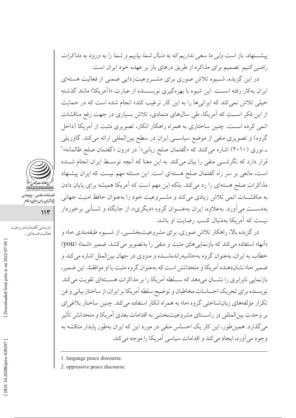پیشــنهاد، باز است *ولی ما سعی نداریم که به دنبال ش*م*ا بیاییم و شما را به ورود به مذاکرات* راضی کنیم. تصمیم برای مذاکره از طریق درهای باز بر عهده خود ایران است.

در این گزیده، شــیوه تلاش صوری برای مشــروعیتزدایی ضمنی از فعالیت هستهای ایران بهکار رفته اســت. این شیوه با بهرهگیری نویســنده از عبارت «(اَمریکا) مانند گذشته خیلی تلاش نمی کند که ایرانیها را به این کار ترغیب کند» انجام شده است که در حمایت از این فکر اسـت که آمریکا، طی سالهای متمادی، تلاش بسیاری در جهت رفع مناقشات اتمی کرده اسـت. چنین ساختاری به همراه راهکار انکار، تصویری مثبت از آمریکا (داخل گروه) و تصویری منفی از موضع سیاسی ایران در سطح بینالمللی ارائه میکند. گاوریلی ـ نوري (٢٠١٠) اشاره مي كنند كه «گفتمان صلح زباني»' در درون «گفتمان صلح ظالمانه»' قرار دارد که نگرشـــی منفی را بیان میکند. به این معنا که آنچه توســط ایران انجام شـــده است، مانعی بر سر راه گفتمان صلح هستهای است. این مسئله مهم نیست که ایران پیشنهاد مذاکرات صلح هستهای را رد می کند. بلکه این مهم است که آمریکا همیشه برای پایان دادن به مناقشـات اتمى تلاش زيادى مى كند و مشـروعيت خود را بهعنوان حافظ امنيت جهانى بهدســت مي آورد. بهعلاوه، ايران بهعنــوان گروه «ديگري»، از جايگاه و شــأني برخوردار نیست که آمریکا بهدنبال کسب رضایت او باشد.

در گزیده بالا، راهکار تلاش صوری، برای مشروعیتبخشــی، از شــیوه طبقهبندی «ما» و «آنها» استفاده می کند که بازنمایی های مثبت و منفی را به تصویر می کشد. ضمیر «شما» (you) خطاب به ایران، بهعنوان گروه بهحاشیهراندهشــده و منزوی در جهان بینالملل اشاره میكند و ضمير «ما» نشاندهنده اَمريكا و متحدانش است كه بهعنوان گروه مثبت با او موافقند. اين ضمير، بازنمایی نابرابری را نشــان می دهد که ســـلطه آمریکا را بر مذاکرات هســتهای تقویت می کند. نویسنده برای تحریک احساسات مخاطبان و توضیح سلطه آمریکا بر ایران، از ساختار بیانی و فن تکرار مؤلفههای زبانشناختی گروه «ما» به همراه انکار استفاده می کند. چنین ساختار بلاغی ای بر وحدت بینالمللی در راسـتای مشروعیتبخشی به اقدامات بعدی آمریکا و متحدانش تأثیر می گذارد. همین طور، این کار یک احساس منفی در مورد این که ایران بهطور پایدار مناقشه به وجود مي آورد، ايجاد مي كند و اقدامات سياسي آمريكا را موجه مي كند.

2. oppressive peace discourse.



مستنسسه سسی په در مسیر<br>پژوهشهای سایپی جهان اسلام

بازنمايي گفتمان مشروعيت

فعاليت هستهاي ...

 $114$ 

Downloaded from priw.ir on 2022-07-05

<sup>1.</sup> language peace discourse.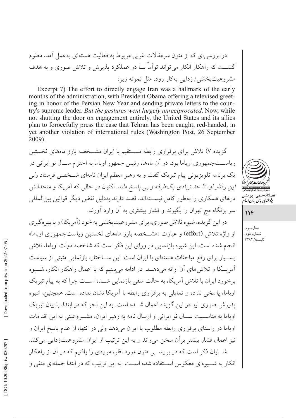در بررسی ای که از متون سرمقالات غربی مربوط به فعالیت هستهای بهعمل آمد، معلوم گشـــت که راهکار انکار می تواند توأماً بـــا دو عملکرد پذیرش و تلاش صوری و به هدف مشروعیتبخشی/ زدایی بهکار رود. مثل نمونه زیر:

Excerpt 7) The effort to directly engage Iran was a hallmark of the early months of the administration, with President Obama offering a televised greeting in honor of the Persian New Year and sending private letters to the country's supreme leader. *But the gestures went largely unreciprocated*. Now, while not shutting the door on engagement entirely, the United States and its allies plan to forocefully press the case that Tehran has been caught, red-handed, in yet another violation of international rules (Washington Post, 26 September 2009).

گزیده ۷) تلاش برای برقراری رابطه مســتقیم با ایران مشــخصه بارز ماههای نخستین ریاســتجمهوری اوباما بود. در آن ماهها، رئیس جمهور اوباما به احترام ســال نو ایرانی در یک برنامه تلویزیونی پیام تبریک گفت و به رهبر معظم ایران نامهای شــخصی فرستاد *ولی* این رفتار او، تا حد زیادی یک طرفه و بی پاسخ ماند. اکنون در حالی که آمریکا و متحدانش درهای همکاری را بهطور کامل نبســتهاند، قصد دارند بهدلیل نقض دیگر قوانین بین|لمللی سر بزنگاه مچ تهران را بگیرند و فشار بیشتری به آن وارد آورند.

در اين گزيده، شيوه تلاش صوري، براي مشروعيتبخشي به خود (آمريكا) و با بهره گيري از واژه تلاش (effort) و عبارت «مشــخصه بارز ماههای نخستین ریاستجمهوری اوباما» انجام شده است. این شیوه بازنمایی در ورای این فکر است که شاخصه دولت اوباما، تلاش بســيار براي رفع مباحثات هستهاي با ايران است. اين ســاختار، بازنمايي مثبتي از سياست آمریــکا و تلاش۵های آن ارائه می دهــد. در ادامه می بینیم که با اعمال راهکار انکار، شـــیوه برخورد ایران با تلاش آمریکا، به حالت منفی بازنمایی شــده اســت چرا که به پیام تبریک اوباما، پاسخی نداده و تمایلی به برقراری رابطه با آمریکا نشان نداده است. همچنین، شیوه یذیر ش صوری نیز در این گزیده اعمال شــده است. به این نحو که در ابتدا، با بیان تبریک اوباما به مناسـبت سـال نو ايرانى و ارسال نامه به رهبر ايران، مشــروعيتى به اين اقدامات اوباما در راستای بر قراری رابطه مطلوب با ایران می دهد ولی در انتها، از عدم یاسخ ایران و نيز اعمال فشار بيشتر بر آن سخن مي راند و به اين ترتيب از ايران مشروعيتزدايي مي كند. شــایان ذکر است که در بررســـی متون مورد نظر، موردی را یافتیم که در آن از راهکار انکار به شــيو ماي معکو س اســتفاده شده اســت. به اين تر تيب که در ابتدا جملهاي من*في و* 



فصلنامه *ع*لمى \_پژوهشى

سال سوم، شماره دوم، تابستان ۱۳۹۲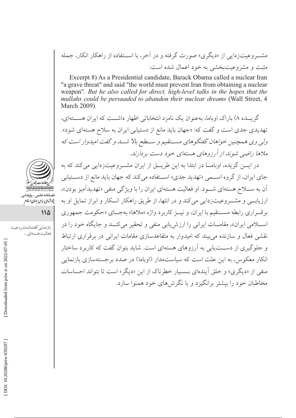مشـــروعیتزدایی از «دیگری» صورت گرفته و در آخر، با اســـتفاده از راهکار انکار، جمله مثبت و مشروعیتبخشی به خود اعمال شده است:

Excerpt 8) As a Presidential candidate, Barack Obama called a nuclear Iran "a grave threat" and said "the world must prevent Iran from obtaining a nuclear weapon". But he also called for direct, high-level talks in the hopes that the mullahs could be persuaded to abandon their nuclear dreams (Wall Street, 4 March 2009).

گزیــده ۸) باراک اوپاما، بهعنوان یک نامزد انتخاباتی اظهار داشــت که ایران هســتهای، تهدیدی جدی است و گفت که: «جهان باید مانع از دستیابی ایران به سلاح هستهای شود». ولي وي همچنين خواهان گفتگوهاي مستقيم و سـطح بالا شــد و گفت اميدوار است كه ملاها راضی شوند از آرزوهای هستهای خود دست بردارند.

در ایسن گزیده، اوبامــا در ابتدا به این طریــق از ایران مشــروعیتزدایی میکند که به جای ایران، از گروه اســمی «تهدید جدی» اســتفاده می کند که جهان باید مانع از دســتیابی آن به ســـلاح هستهاي شـــود. او فعاليت هستهاي ايران را با ويژگي منفي «تهديدآميز بودن»، ارزیابے و مشــروعیتزدایی میکند و در انتها، از طریق راهکار انــکار و ابراز تمایل او به برقـراري رابطه مســتقيم با ايران، و نيــز كاربرد واژه «ملاها» بهجـاي «حكومت جمهوري اسلامی ایران»، مقامـات ایرانی را ارزش یابی منفی و تحقیر میکنــد و جایگاه خود را در نقشی فعال و سازنده می بیند که امیدوار به متقاعدسازی مقامات ایرانی در بر قراری ارتباط و جلوگیری از دســتیابی به آرزوهای هستهای است. شاید بتوان گفت که کاربرد ساختار انکار معکوس، به این علت است که سیاستمدار (اوباما) در صدد برجستهسازی بازنمایی منفي از «ديگري» و خلق اّيندهاي بسـيار خطرناك از اين «ديگر» است تا بتواند احساسات مخاطبان خود را بیشتر برانگیزد و با نگرش های خود همنوا سازد.



پژو شهای سایپی جهان اسلام<br>پژو شهای سایپی جهان اسلام

114

بازنمايي گفتمان مشروعيت فعاليت هستهاي ...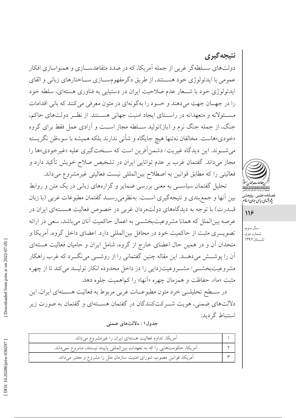نتيجه گيري دولتهای ســلطه گر غربی از جمله آمریکا، که در صدد متقاعدســـازی و همنواسازی افکار عمومي با ايدئولوژي خود هســتند، از طريق دگرمفهومســازي ســاختارهاي زباني و القاي ایدئولوژی خود با شــعار عدم صلاحیت ایران در دستیابی به فناوری هستهای، سلطه خود را در جهـان جهت مي دهند و خـود را به گونهاي در متون معرفي مي كنند كه باني اقدامات مسئولانه و متعهدانه در راستای ایجاد امنیت جهانی هستند. از نظـر دولتهای حاکم، جنگ، از جمله جنگ نرم و (باز)تولید ســلطه مجاز اســت و آزادي عمل فقط براي گروه «خودي»هاست. مخالفان نهتنها هيچ جايگاه و شأني ندارند بلكه هميشه با سوءظن نگريسته مي شـوند. اين ديدگاه غيريت/ دشمن آفرين است كه سـختگيري عليه «غيرخودي»ها را مجاز میداند. گفتمان غرب بر عدم توانایی ایران در تشخیص صلاح خویش تأکید دارد و فعالیتی را که مطابق قوانین به اصطلاح بین المللی نیست فعالیتی غیرمشروع میداند.

تحلیل گفتمان سیاســی به معنی بررسی ضمایر و گزارههای زبانی در یک متن و روابط بين أنها و جمع بندي و نتيجه گيري اســت. بهنظر مي رســد گفتمان مطبوعات غربي (با زبان قـــدرت) با توجه به دیدگاههای دولتمردان غربی در خصوص فعالیت هســـتهای ایران در عرصه بینالملل که همانا مشروعیتبخشمی به اعمال حاکمیت آنان میباشد، سعی در ارائه تصویــری مثبت از حاکمیت خود در محافل بین|لمللی دارد. اعضای داخل گروه، آمریکا و متحدان آن و در همین حال اعضای خارج از گروه، شامل ایران و حامیان فعالیت هستهای اّن را پوشـــش می۵هـــد. این مقاله چنین گفتمانی را از روشـــی مینگـــرد که غرب راهکار مشروعیتبخشــی/ مشــروعیتزدایی را در داخل محدوده انکار تولیــد میکند تا از چهره مثبت «ما»، حفاظت و همزمان چهره «آنها» را كماهميت جلوه دهد.

در ســـطح تحليلـــي خرد متون مطبوعــات غربي مربوط به فعاليت هســـتهاي ايران، اين دلالتهای ضمنی، هویت شــرکتکنندگان در گفتمان هســتهای و گفتمان به صورت زیر استنباط گردید:

جدول ۱ : دلالتهای ضمنی

| آمریکا، تداوم فعالیت هستهای ایران را غیرمشروع میداند.                     |  |
|---------------------------------------------------------------------------|--|
| آمریکا، حکومتهایی را که به تعهدات بینالمللی پایبند نیستند، مشروع نمیداند. |  |
| آمریکا، قوانین مصوب شورای امنیت سازمان ملل را مشروع و معتبر میداند.       |  |



صلنامەعلى<sub>مى—پژ</sub>وھشہ<br>پ*ژوہ<sup>ش</sup>ای ساس جمان اسلا* 

118

سال سوم، شماره دوم، تابستان ۱۳۹۲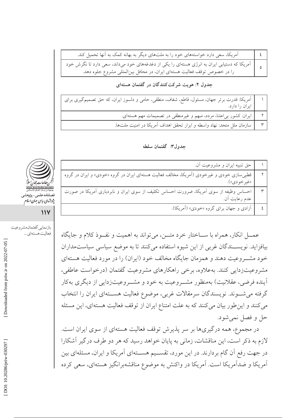| آمریکا، سعی دارد خواستههای خود را به ملتهای دیگر به بهانه کمک به آنها تحمیل کند.                                                                                                                       |  |
|--------------------------------------------------------------------------------------------------------------------------------------------------------------------------------------------------------|--|
| ه یا آمریکا که دستیابی ایران به انرژی هستهای را یکی از دغدغههای خود میداند، سعی دارد تا نگرش خود استیابی ایران<br>ه یا آمریکا که دستیابی ایوقف فعالیت هستهای ایران، در محافل بینالمللی مشروع جلوه دهد. |  |
|                                                                                                                                                                                                        |  |

## جدول ۲: هویت شرکتکنندگان در گفتمان هستهای

| آمریکا: قدرت برتر جهان، مسئول، قاطع، شفاف، منطقی، حامی و دلسوز ایران، که حق تصمیمگیری برای<br> |  |
|------------------------------------------------------------------------------------------------|--|
| ایران را دارد.                                                                                 |  |
| ایران: کشور بی عتنا، مردد، مبهم و غیرمنطقی در تصمیمات مهم هستهای.                              |  |
| سازمان ملل متحد: نهاد واسطه و ابزار تحقق اهداف آمریکا در امنیت ملتها.                          |  |

#### جدول٣: گفتمان سلطه

|                            | حق تنبيه ايران و مشروعيت أن.                                                                             |  |
|----------------------------|----------------------------------------------------------------------------------------------------------|--|
|                            | قطبی سازی خودی و غیرخودی (اَمریکا، مخالف فعالیت هستهای ایران در گروه «خودی» و ایران در گروه              |  |
|                            | «غير خودي»).                                                                                             |  |
| ociation<br>جمعیهٔ<br>فصلن | احساس وظیفه از سوی اَمریکا، ضرورت احساس تکلیف از سوی ایران و نابردباری اَمریکا در صورت<br>عدم رعایت اَن. |  |
| يژوبرشها                   |                                                                                                          |  |
|                            | آزادی و جهان برای گروه «خودی» (آمریکا).                                                                  |  |

عمـــل انکار، همراه با ســـاختار خرد متـــن، میتواند به اهمیت و نفــوذ کلام و جایگاه بیافزاید. نویســندگان غربی از این شیوه استفاده می کنند تا به موضع سیاسی سیاستمداران خود مشـــروعيت دهند و همزمان جايگاه مخالف خود (ايران) را در مورد فعاليت هستهاي مشروعیتزدایی کنند. بهعلاوه، برخی راهکارهای مشروعیت گفتمان (درخواست عاطفی، آینده فرضی، عقلانیت) بهمنظور مشــروعیت به خود و مشــروعیتزدایی از دیگری بهکار گرفته می شـوند. نویسندگان سرمقالات غربی، موضوع فعالیت هســتهای ایران را انتخاب می کنند و این طور بیان می کنند که به علت امتناع ایران از توقف فعالیت هستهای، این مسئله حل و فصل نمي شود.

در مجموع، همه درگیریها بر سر پذیرش توقف فعالیت هستهای از سوی ایران است. لازم به ذکر است، این مناقشات، زمانی به پایان خواهد رسید که هر دو طرف درگیر آشکارا در جهت رفع آن گام بردارند. در این مورد، تقســیم هســتهای آمریکا و ایران، مسئلهای بین آمریکا و ضدآمریکا است. آمریکا در واکنش به موضوع مناقشهبرانگیز هستهای، سعی کرده



ي ساسي جيان اسلام

 $\mathcal{W}$ 

بازنمايي گفتمان مشروعيت فعاليت هستهاي ...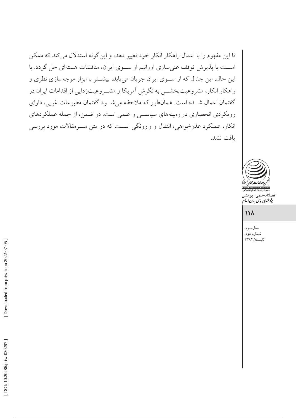تا این مفهوم را با اعمال راهکار انکار خود تغییر دهد، و این گونه استدلال میکند که ممکن اســت با پذیرش توقف غنی سازی اورانیم از ســوی ایران، مناقشات هستهای حل گردد. با این حال، این جدال که از سوی ایران جریان می یابد، بیشتر با ابزار موجهسازی نظری و راهکار انکار، مشروعیتبخشــی به نگرش آمریکا و مشــروعیتزدایی از اقدامات ایران در گفتمان اعمال شــده است. همانطور که ملاحظه میشــود گفتمان مطبوعات غربی، دارای رویکردی انحصاری در زمینههای سیاسی و علمی است. در ضمن، از جمله عملکردهای انکار، عملکرد عذرخواهی، انتقال و وارونگی است که در متن ســرمقالات مورد بررسی يافت نشد.



.<br>نامەعلمى\_پژوهش<sub>ى</sub> بژو شهای سایت جهان اسلام<br>بژو شهای سایت جهان اسلام

## $\mathcal{N}$

سال سوم، شماره دوم،<br>تابستان۱۳۹۲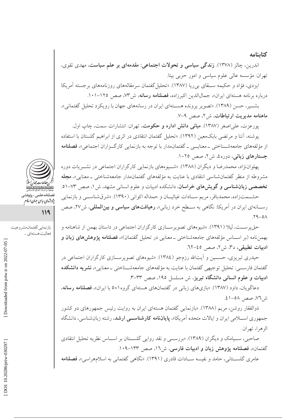#### كتابنامه

اندرین، چالز (۱۳۷۸). **زندگی سیاسی و تحولات اجتماعی: مقدمهای بر علم سیاست**، مهدی تقوی، تهران: مؤسسه عالی علوم سیاسی و امور حزبی بیتا.

ایزدی، فؤاد و حکیمه ســـقای بی ریا (۱۳۸۷). «تحلیل گفتمان سرمقالههای روزنامههای برجسته آمریکا درباره برنامه هستهای ایران»، جمالاللدین اکبرزاده، فصلنامه رسانه، ش۳۷، صص ۱۲۵-۱۰۱.

بشــير، حسن (١٣٨٩). «تصوير يرونده هســتهاي ايران در رسانههاي جهان با رويكرد تحليل گفتماني»، ماهنامه مديريت ارتباطات، ش٢، صص ٩-٧.

پورعزت، عل<sub>ی</sub>اصغر (۱۳۸۷). **مبانی دانش اداره و حکومت**، تهران: انتشارات سمت، چاپ اول. یوشنه، آتنا و مرتضی بابکمعین (۱۳۹۲). «تحلیل گفتمان انتقادی در اثری از ابراهیم گلستان با استفاده از مؤلفههای جامعهشــناختی ــ معنایـــی ــ گفتمان.مدار با توجه به بازنمایی کارگــزاران اجتماعی»، **فصلنامه** جستارهای زبانی، دوره٤، ش۲، صص ٢٥-١.

يهلواننژاد، محمدرضا و ديگران (١٣٨٨). «شــيو مهاي بازنمايي كارگزاران اجتماعي در نشــريات دوره مشروطه از منظر گفتمانشناسی انتقادی با عنایت به مؤلفههای گفتمانمدار جامعهشناختی ــ معنایی»، م**جله** تخصصی زبانشناسی و گویش های خراسان، دانشکده ادبیات و علوم انسانی مشهد، ش ۱، صص ۷۳-۵۱.

حشــمتزاده، محمدباقر، مريم ســادات غياثيــان و حمداله اكواني (١٣٩٠). «شرقشناســي و بازنمايي رســانهاي ايران در آمريكا: نگاهي به ســطح خرد زباني»، **رهيافتهاي سياسي و بينالمللي**، ش٢٧، صص  $Y9 - 0A$ 

حق پرســت، ليلا (١٣٩١). «شيوههاي تصويرســازي كارگزاران اجتماعي در داستان بهمن از شاهنامه و بهمننامه (بر اســاس مؤلفههاي جامعهشناختي \_معنايي در تحليل گفتمان)»، فصلنامه يژوهش هاي زبان و ادبيات تطبيقى، د٣، ش٢، صص ٤٥-٦٢.

حیدری تبریزی، حســین و أیتالله رزمجو (١٣٨٤). «شیوههای تصویرســازی کارگزاران اجتماعی در گفتمان فارســـي: تحليل توجيهي گفتمان با عنايت به مؤلفههاي جامعهشــناختي \_معنايي»، **نشريه دانشكده** ادبیات و علوم انسانی دانشگاه تبریز، ش مسلسل ۱۹۵، صص ۳۳–۳.

دعاگویان، داود (۱۳۸۷). «بازیهای زبانی در گفتمانهای هستهای گروه۱+۵ با ایران»، فصلنامه رسانه، ش ٧٦، صص ٥٨-٤١.

ذوالفقار روشن، مریم (۱۳۸۸). «بازنمایی گفتمان هستهای ایران به روایت رئیس جمهورهای دو کشور جمهوری اســـلامی ایران و ایالات متحده آمریکا»، **یایاننامه کارشناســـی ارشد**، رشته زبانشناسی، دانشگاه الزهرا، تهران.

صاحبی، ســيامک و ديگران (١٣٨٩). «بررســي و نقد روايي گلســتان بر اســاس نظريه تحليل انتقادي گفتمان»، فصلنامه یژوهش زبان و ادبیات فارسی، ش١٦، صص ١٣٣-١٠٩.

عامری گلســتانی، حامد و نفیسه ســادات قادری (۱۳۹۱). «نگاهی گفتمانی به اسلامهراسی»، فصلنامه



فصلنامەعلى<sub>م</sub>\_پ<sub>ژ</sub>وهش<sub>ى</sub><br>پژ*وہثهای بیای جمان اسلام* 

119

بازنمايي گفتمان مشروعيت فعاليت هستهاي ...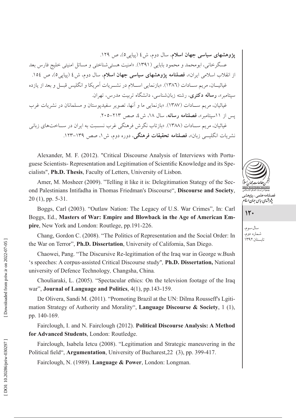یژوهشهای سیاسی جهان اسلام، سال دوم، ش ٤ (پیای<sub>ی</sub>٥)، ص ١٢٩. عسگرخانی، ابومحمد و محمود بابایی (۱۳۹۱). «امنیت هستیشناختی و مسائل امنیتی خلیج فارس بعد از انقلاب اسلامی ایران»، فصلنامه پژوهشهای سیاسی جهان اسلام، سال دوم، ش٤ (پیاپی٥)، ص ١٥٤. غياثيــان، مريم ســادات (١٣٨٦). «بازنمايي اســلام در نشــريات آمريكا و انگليس قبــل و بعد از يازده سپتامبر»، **رساله دکتری**، رشته زبانشناسی، دانشگاه تربیت مدرس، تهران. غباثیان، مر بم سـبادات (۱۳۸۷). «بازنمایی ما و آنها، تصویر سفیدیوستان و مسلمانان در نشریات غرب يس از ١١سيتامير»، فصلنامه رسانه، سال ١٨، ش ٤، صص ٢١٣-٢٠٥. غیاثیان، مریم سـادات (۱۳۸۸). «بازتاب نگرش فرهنگی غرب نسـبت به ایران در ســاختهای زبانی نشریات انگلیسی زبان»، **فصلنامه تحقیقات فرهنگی**، دوره دوم، ش ۱، صص ۱۳۹–۱۲۳.

Alexander, M. F. (2012). "Critical Discourse Analysis of Interviews with Portuguese Scientists-Representation and Legitimation of Scientific Knowledge and its Specialists", Ph.D. Thesis, Faculty of Letters, University of Lisbon.

Amer, M. Mosheer (2009). "Telling it like it is: Delegitimation Stategy of the Second Palestinians Intifadha in Thomas Friedman's Discourse", Discourse and Society,  $20(1)$ , pp. 5-31.

Boggs, Carl (2003). "Outlaw Nation: The Legacy of U.S. War Crimes", In: Carl Boggs, Ed., Masters of War: Empire and Blowback in the Age of American Empire, New York and London: Routlege, pp.191-226.

Chang, Gordon C. (2008). "The Politics of Representation and the Social Order: In the War on Terror", Ph.D. Dissertation, University of California, San Diego.

Chaowei, Pang. "The Discursive Re-legitimation of the Iraq war in George w.Bush 's speeches: A corpus-assisted Critical Discourse study", Ph.D. Dissertation, National university of Defence Technology, Changsha, China.

Chouliaraki, L. (2005). "Spectacular ethics: On the television footage of the Iraq war", Journal of Language and Politics, 4(1), pp.143-159.

De Olivera, Sandi M. (2011). "Promoting Brazil at the UN: Dilma Rousseff's Lgitimation Strategy of Authority and Morality", Language Discourse & Society, 1 (1), pp. 140-169.

Fairclough, I. and N. Fairclough (2012). Political Discourse Analysis: A Method for Advanced Students, London: Routledge.

Fairclough, Isabela Ietcu (2008). "Legitimation and Strategic maneuvering in the Political field", Argumentation, University of Bucharest, 22 (3), pp. 399-417.

Fairclough, N. (1989). Language & Power, London: Longman.



سال سوم، شماره دوم، تابستان ۱۳۹۲

 $15.$ 

DOI: 10.20286/priw-030297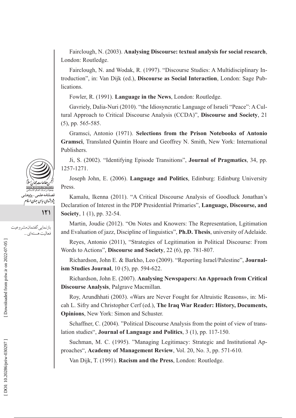Fairclough, N. (2003). **Analysing Discourse: textual analysis for social research**, London: Routledge.

Fairclough, N. and Wodak, R. (1997). "Discourse Studies: A Multidisciplinary Introduction", in: Van Dijk (ed.), **Discourse as Social Interaction**, London: Sage Publications.

Fowler, R. (1991). **Language in the News**, London: Routledge.

Gavriely, Dalia-Nuri (2010). "the Idiosyncratic Language of Israeli "Peace": A Cultural Approach to Critical Discourse Analysis (CCDA)", **Discourse and Society**, 21 (5), pp. 565-585.

Gramsci, Antonio (1971). **Selections from the Prison Notebooks of Antonio Gramsci**, Translated Quintin Hoare and Geoffrey N. Smith, New York: International Publishers.

Ji, S. (2002). "Identifying Episode Transitions", **Journal of Pragmatics**, 34, pp. 1257-1271.

Joseph John, E. (2006). **Language and Politics**, Edinburg: Edinburg University Press.

Kamalu, Ikenna (2011). "A Critical Discourse Analysis of Goodluck Jonathan's Declaration of Interest in the PDP Presidential Primaries", **Language, Discourse, and Society**, 1 (1), pp. 32-54.

Martin, Joudie (2012). "On Notes and Knowers: The Representation, Lgitimation and Evaluation of jazz, Discipline of linguistics", **Ph.D. Thesis**, university of Adelaide.

Reyes, Antonio (2011), "Strategies of Legitimation in Political Discourse: From Words to Actions", **Discourse and Society**, 22 (6), pp. 781-807.

Richardson, John E. & Barkho, Leo (2009). "Reporting Israel/Palestine", **Journalism Studies Journal**, 10 (5), pp. 594-622.

Richardson, John E. (2007). **Analysing Newspapers: An Approach from Critical Discourse Analysis**, Palgrave Macmillan.

Roy, Arundhhati (2003). «Wars are Never Fought for Altruistic Reasons», in: Micah L. Sifry and Christopher Cerf (ed.), **The Iraq War Reader: History, Documents, Opinions**, New York: Simon and Schuster.

Schaffner, C. (2004). "Political Discourse Analysis from the point of view of translation studies", **Journal of Language and Politics**, 3 (1), pp. 117-150.

Suchman, M. C. (1995). "Managing Legitimacy: Strategic and Institutional Approaches", **Academy of Management Review**, Vol. 20, No. 3, pp. 571-610.

Van Dijk, T. (1991). **Racism and the Press**, London: Routledge.



**121** 

بازنمايي گفتمان مشروعيت فعالیت هستهای ...